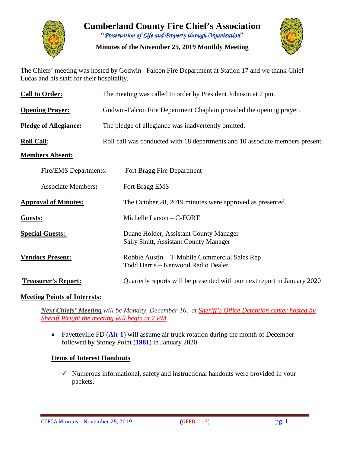

**Cumberland County Fire Chief's Association "***Preservation of Life and Property through Organization***"**

**Minutes of the November 25, 2019 Monthly Meeting**



The Chiefs' meeting was hosted by Godwin –Falcon Fire Department at Station 17 and we thank Chief Lucas and his staff for their hospitality.

| <b>Call to Order:</b>        | The meeting was called to order by President Johnson at 7 pm.                       |  |  |  |  |  |  |  |  |
|------------------------------|-------------------------------------------------------------------------------------|--|--|--|--|--|--|--|--|
| <b>Opening Prayer:</b>       | Godwin-Falcon Fire Department Chaplain provided the opening prayer.                 |  |  |  |  |  |  |  |  |
| <b>Pledge of Allegiance:</b> | The pledge of allegiance was inadvertently omitted.                                 |  |  |  |  |  |  |  |  |
| <b>Roll Call:</b>            | Roll call was conducted with 18 departments and 10 associate members present.       |  |  |  |  |  |  |  |  |
| <b>Members Absent:</b>       |                                                                                     |  |  |  |  |  |  |  |  |
| Fire/EMS Departments:        | Fort Bragg Fire Department                                                          |  |  |  |  |  |  |  |  |
| <b>Associate Members:</b>    | Fort Bragg EMS                                                                      |  |  |  |  |  |  |  |  |
| <b>Approval of Minutes:</b>  | The October 28, 2019 minutes were approved as presented.                            |  |  |  |  |  |  |  |  |
| Guests:                      | Michelle Larson - C-FORT                                                            |  |  |  |  |  |  |  |  |
| <b>Special Guests:</b>       | Duane Holder, Assistant County Manager<br>Sally Shutt, Assistant County Manager     |  |  |  |  |  |  |  |  |
| <b>Vendors Present:</b>      | Robbie Austin – T-Mobile Commercial Sales Rep<br>Todd Harris - Kenwood Radio Dealer |  |  |  |  |  |  |  |  |
| <b>Treasurer's Report:</b>   | Quarterly reports will be presented with our next report in January 2020            |  |  |  |  |  |  |  |  |

### **Meeting Points of Interests:**

*Next Chiefs' Meeting will be Monday, December 16, at Sheriff's Office Detention center hosted by Sheriff Wright the meeting will begin at 7 PM*

• Fayetteville FD (Air 1) will assume air truck rotation during the month of December followed by Stoney Point (**1981**) in January 2020.

### **Items of Interest Handouts**

 $\checkmark$  Numerous informational, safety and instructional handouts were provided in your packets.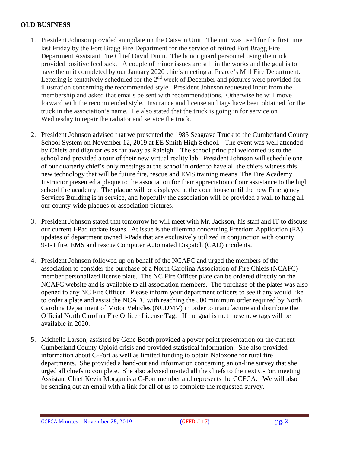### **OLD BUSINESS**

- 1. President Johnson provided an update on the Caisson Unit. The unit was used for the first time last Friday by the Fort Bragg Fire Department for the service of retired Fort Bragg Fire Department Assistant Fire Chief David Dunn. The honor guard personnel using the truck provided positive feedback. A couple of minor issues are still in the works and the goal is to have the unit completed by our January 2020 chiefs meeting at Pearce's Mill Fire Department. Lettering is tentatively scheduled for the  $2<sup>nd</sup>$  week of December and pictures were provided for illustration concerning the recommended style. President Johnson requested input from the membership and asked that emails be sent with recommendations. Otherwise he will move forward with the recommended style. Insurance and license and tags have been obtained for the truck in the association's name. He also stated that the truck is going in for service on Wednesday to repair the radiator and service the truck.
- 2. President Johnson advised that we presented the 1985 Seagrave Truck to the Cumberland County School System on November 12, 2019 at EE Smith High School. The event was well attended by Chiefs and dignitaries as far away as Raleigh. The school principal welcomed us to the school and provided a tour of their new virtual reality lab. President Johnson will schedule one of our quarterly chief's only meetings at the school in order to have all the chiefs witness this new technology that will be future fire, rescue and EMS training means. The Fire Academy Instructor presented a plaque to the association for their appreciation of our assistance to the high school fire academy. The plaque will be displayed at the courthouse until the new Emergency Services Building is in service, and hopefully the association will be provided a wall to hang all our county-wide plaques or association pictures.
- 3. President Johnson stated that tomorrow he will meet with Mr. Jackson, his staff and IT to discuss our current I-Pad update issues. At issue is the dilemma concerning Freedom Application (FA) updates of department owned I-Pads that are exclusively utilized in conjunction with county 9-1-1 fire, EMS and rescue Computer Automated Dispatch (CAD) incidents.
- 4. President Johnson followed up on behalf of the NCAFC and urged the members of the association to consider the purchase of a North Carolina Association of Fire Chiefs (NCAFC) member personalized license plate. The NC Fire Officer plate can be ordered directly on the NCAFC website and is available to all association members. The purchase of the plates was also opened to any NC Fire Officer. Please inform your department officers to see if any would like to order a plate and assist the NCAFC with reaching the 500 minimum order required by North Carolina Department of Motor Vehicles (NCDMV) in order to manufacture and distribute the Official North Carolina Fire Officer License Tag. If the goal is met these new tags will be available in 2020.
- 5. Michelle Larson, assisted by Gene Booth provided a power point presentation on the current Cumberland County Opioid crisis and provided statistical information. She also provided information about C-Fort as well as limited funding to obtain Naloxone for rural fire departments. She provided a hand-out and information concerning an on-line survey that she urged all chiefs to complete. She also advised invited all the chiefs to the next C-Fort meeting. Assistant Chief Kevin Morgan is a C-Fort member and represents the CCFCA. We will also be sending out an email with a link for all of us to complete the requested survey.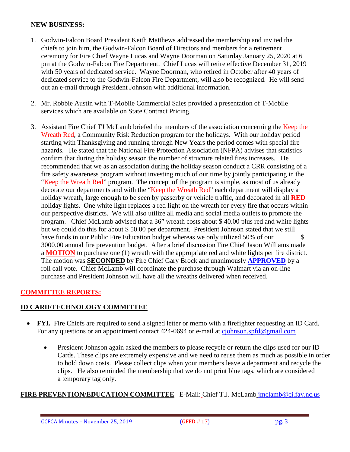#### **NEW BUSINESS:**

- 1. Godwin-Falcon Board President Keith Matthews addressed the membership and invited the chiefs to join him, the Godwin-Falcon Board of Directors and members for a retirement ceremony for Fire Chief Wayne Lucas and Wayne Doorman on Saturday January 25, 2020 at 6 pm at the Godwin-Falcon Fire Department. Chief Lucas will retire effective December 31, 2019 with 50 years of dedicated service. Wayne Doorman, who retired in October after 40 years of dedicated service to the Godwin-Falcon Fire Department, will also be recognized. He will send out an e-mail through President Johnson with additional information.
- 2. Mr. Robbie Austin with T-Mobile Commercial Sales provided a presentation of T-Mobile services which are available on State Contract Pricing.
- 3. Assistant Fire Chief TJ McLamb briefed the members of the association concerning the Keep the Wreath Red, a Community Risk Reduction program for the holidays. With our holiday period starting with Thanksgiving and running through New Years the period comes with special fire hazards. He stated that the National Fire Protection Association (NFPA) advises that statistics confirm that during the holiday season the number of structure related fires increases. He recommended that we as an association during the holiday season conduct a CRR consisting of a fire safety awareness program without investing much of our time by jointly participating in the "Keep the Wreath Red" program. The concept of the program is simple, as most of us already decorate our departments and with the "Keep the Wreath Red" each department will display a holiday wreath, large enough to be seen by passerby or vehicle traffic, and decorated in all **RED** holiday lights. One white light replaces a red light on the wreath for every fire that occurs within our perspective districts. We will also utilize all media and social media outlets to promote the program. Chief McLamb advised that a 36" wreath costs about \$ 40.00 plus red and white lights but we could do this for about \$ 50.00 per department. President Johnson stated that we still have funds in our Public Fire Education budget whereas we only utilized 50% of our \$ 3000.00 annual fire prevention budget. After a brief discussion Fire Chief Jason Williams made a **MOTION** to purchase one (1) wreath with the appropriate red and white lights per fire district. The motion was **SECONDED** by Fire Chief Gary Brock and unanimously **APPROVED** by a roll call vote. Chief McLamb will coordinate the purchase through Walmart via an on-line purchase and President Johnson will have all the wreaths delivered when received.

# **COMMITTEE REPORTS:**

### **ID CARD/TECHNOLOGY COMMITTEE**

- **FYI.** Fire Chiefs are required to send a signed letter or memo with a firefighter requesting an ID Card. For any questions or an appointment contact 424-0694 or e-mail at [cjohnson.spfd@gmail.com](mailto:cjohnson.spfd@gmail.com)
	- President Johnson again asked the members to please recycle or return the clips used for our ID Cards. These clips are extremely expensive and we need to reuse them as much as possible in order to hold down costs. Please collect clips when your members leave a department and recycle the clips. He also reminded the membership that we do not print blue tags, which are considered a temporary tag only.

### **FIRE PREVENTION/EDUCATION COMMITTEE** E-Mail: Chief T.J. McLamb [jmclamb@ci.fay.nc.us](mailto:jmclamb@ci.fay.nc.us)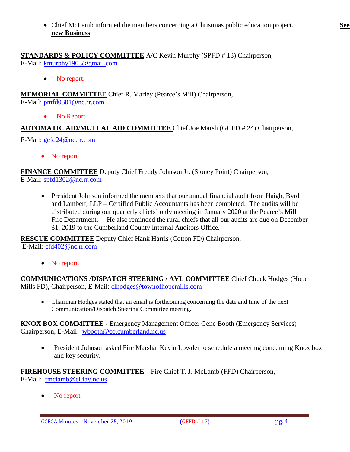• Chief McLamb informed the members concerning a Christmas public education project. **See new Business**

• No report.

**MEMORIAL COMMITTEE** Chief R. Marley (Pearce's Mill) Chairperson,

E-Mail: [pmfd0301@nc.rr.com](mailto:pmfd0301@nc.rr.com)

• No Report

# **AUTOMATIC AID/MUTUAL AID COMMITTEE** Chief Joe Marsh (GCFD # 24) Chairperson,

E-Mail: [gcfd24@nc.rr.com](mailto:gcfd24@nc.rr.com)

• No report

**FINANCE COMMITTEE** Deputy Chief Freddy Johnson Jr. (Stoney Point) Chairperson, E-Mail: [spfd1302@nc.rr.com](mailto:spfd1302@nc.rr.com)

• President Johnson informed the members that our annual financial audit from Haigh, Byrd and Lambert, LLP – Certified Public Accountants has been completed. The audits will be distributed during our quarterly chiefs' only meeting in January 2020 at the Pearce's Mill Fire Department. He also reminded the rural chiefs that all our audits are due on December 31, 2019 to the Cumberland County Internal Auditors Office.

**RESCUE COMMITTEE** Deputy Chief Hank Harris (Cotton FD) Chairperson, E-Mail: [cfd402@nc.rr.com](mailto:cfd402@nc.rr.com)

• No report.

**COMMUNICATIONS /DISPATCH STEERING / AVL COMMITTEE** Chief Chuck Hodges (Hope Mills FD), Chairperson, E-Mail: clhodges@townofhopemills.com

• Chairman Hodges stated that an email is forthcoming concerning the date and time of the next Communication/Dispatch Steering Committee meeting.

**KNOX BOX COMMITTEE** - Emergency Management Officer Gene Booth (Emergency Services) Chairperson, E-Mail: [wbooth@co.cumberland.nc.us](mailto:wbooth@co.cumberland.nc.us)

• President Johnson asked Fire Marshal Kevin Lowder to schedule a meeting concerning Knox box and key security.

**FIREHOUSE STEERING COMMITTEE** – Fire Chief T. J. McLamb (FFD) Chairperson, E-Mail: [tmclamb@ci.fay.nc.us](mailto:tmclamb@ci.fay.nc.us)

No report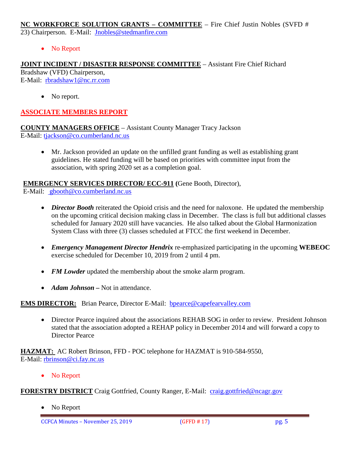**NC WORKFORCE SOLUTION GRANTS – COMMITTEE** – Fire Chief Justin Nobles (SVFD # 23) Chairperson. E-Mail: [Jnobles@stedmanfire.com](mailto:Jnobles@stedmanfire.com)

• No Report

**JOINT INCIDENT / DISASTER RESPONSE COMMITTEE** – Assistant Fire Chief Richard Bradshaw (VFD) Chairperson, E-Mail: [rbradshaw1@nc.rr.com](mailto:rbradshaw1@nc.rr.com)

• No report.

# **ASSOCIATE MEMBERS REPORT**

**COUNTY MANAGERS OFFICE** – Assistant County Manager Tracy Jackson E-Mail: [tjackson@co.cumberland.nc.us](mailto:tjackson@co.cumberland.nc.us)

• Mr. Jackson provided an update on the unfilled grant funding as well as establishing grant guidelines. He stated funding will be based on priorities with committee input from the association, with spring 2020 set as a completion goal.

**EMERGENCY SERVICES DIRECTOR/ ECC-911 (**Gene Booth, Director),

E-Mail: [gbooth@co.cumberland.nc.us](mailto:gbooth@co.cumberland.nc.us)

- *Director Booth* reiterated the Opioid crisis and the need for naloxone. He updated the membership on the upcoming critical decision making class in December. The class is full but additional classes scheduled for January 2020 still have vacancies. He also talked about the Global Harmonization System Class with three (3) classes scheduled at FTCC the first weekend in December.
- *Emergency Management Director Hendrix* re-emphasized participating in the upcoming **WEBEOC** exercise scheduled for December 10, 2019 from 2 until 4 pm.
- *FM Lowder* updated the membership about the smoke alarm program.
- *Adam Johnson* Not in attendance.

# **EMS DIRECTOR:** Brian Pearce, Director E-Mail: bpearce@capefearvalley.com

• Director Pearce inquired about the associations REHAB SOG in order to review. President Johnson stated that the association adopted a REHAP policy in December 2014 and will forward a copy to Director Pearce

**HAZMAT:** AC Robert Brinson, FFD - POC telephone for HAZMAT is 910-584-9550, E-Mail: [rbrinson@ci.fay.nc.us](mailto:rbrinson@ci.fay.nc.us)

• No Report

**FORESTRY DISTRICT** Craig Gottfried, County Ranger, E-Mail: [craig.gottfried@ncagr.gov](mailto:craig.gottfried@ncagr.gov)

• No Report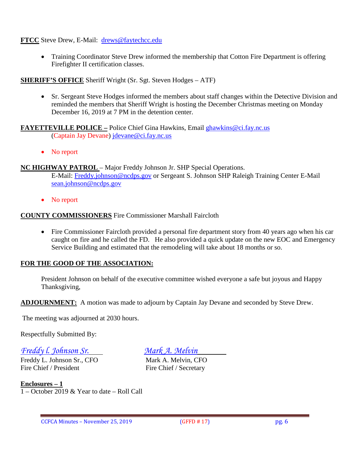**FTCC** Steve Drew, E-Mail: [drews@faytechcc.edu](mailto:drews@faytechcc.edu)

• Training Coordinator Steve Drew informed the membership that Cotton Fire Department is offering Firefighter II certification classes.

# **SHERIFF'S OFFICE** Sheriff Wright (Sr. Sgt. Steven Hodges – ATF)

• Sr. Sergeant Steve Hodges informed the members about staff changes within the Detective Division and reminded the members that Sheriff Wright is hosting the December Christmas meeting on Monday December 16, 2019 at 7 PM in the detention center.

**FAYETTEVILLE POLICE –** Police Chief Gina Hawkins, Email [ghawkins@ci.fay.nc.us](mailto:ghawkins@ci.fay.nc.us)  (Captain Jay Devane) [jdevane@ci.fay.nc.us](mailto:jdevane@ci.fay.nc.us)

• No report

**NC HIGHWAY PATROL** – Major Freddy Johnson Jr. SHP Special Operations.

E-Mail: [Freddy.johnson@ncdps.gov](mailto:Freddy.johnson@ncdps.gov) or Sergeant S. Johnson SHP Raleigh Training Center E-Mail [sean.johnson@ncdps.gov](mailto:sean.johnson@ncdps.gov)

• No report

### **COUNTY COMMISSIONERS** Fire Commissioner Marshall Faircloth

• Fire Commissioner Faircloth provided a personal fire department story from 40 years ago when his car caught on fire and he called the FD. He also provided a quick update on the new EOC and Emergency Service Building and estimated that the remodeling will take about 18 months or so.

# **FOR THE GOOD OF THE ASSOCIATION:**

President Johnson on behalf of the executive committee wished everyone a safe but joyous and Happy Thanksgiving,

**ADJOURNMENT:** A motion was made to adjourn by Captain Jay Devane and seconded by Steve Drew.

The meeting was adjourned at 2030 hours.

Respectfully Submitted By:

# *Freddy l. Johnson Sr. Mark A. Melvin*

Freddy L. Johnson Sr., CFO<br>
Fire Chief / President<br>
Fire Chief / Secretary

Fire Chief / Secretary

**Enclosures – 1** 1 – October 2019 & Year to date – Roll Call